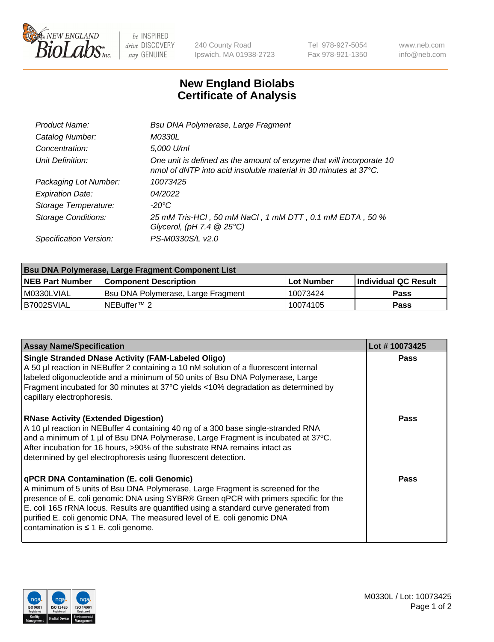

 $be$  INSPIRED drive DISCOVERY stay GENUINE

240 County Road Ipswich, MA 01938-2723 Tel 978-927-5054 Fax 978-921-1350 www.neb.com info@neb.com

## **New England Biolabs Certificate of Analysis**

| Product Name:              | Bsu DNA Polymerase, Large Fragment                                                                                                                 |
|----------------------------|----------------------------------------------------------------------------------------------------------------------------------------------------|
| Catalog Number:            | <i>M0330L</i>                                                                                                                                      |
| Concentration:             | 5,000 U/ml                                                                                                                                         |
| Unit Definition:           | One unit is defined as the amount of enzyme that will incorporate 10<br>nmol of dNTP into acid insoluble material in 30 minutes at $37^{\circ}$ C. |
| Packaging Lot Number:      | 10073425                                                                                                                                           |
| <b>Expiration Date:</b>    | 04/2022                                                                                                                                            |
| Storage Temperature:       | $-20^{\circ}$ C                                                                                                                                    |
| <b>Storage Conditions:</b> | 25 mM Tris-HCl, 50 mM NaCl, 1 mM DTT, 0.1 mM EDTA, 50 %<br>Glycerol, (pH 7.4 $@25°C$ )                                                             |
| Specification Version:     | PS-M0330S/L v2.0                                                                                                                                   |

| <b>Bsu DNA Polymerase, Large Fragment Component List</b> |                                    |              |                      |  |  |
|----------------------------------------------------------|------------------------------------|--------------|----------------------|--|--|
| <b>NEB Part Number</b>                                   | <b>Component Description</b>       | l Lot Number | Individual QC Result |  |  |
| I M0330LVIAL                                             | Bsu DNA Polymerase, Large Fragment | 10073424     | <b>Pass</b>          |  |  |
| B7002SVIAL                                               | NEBuffer <sup>™</sup> 2            | 10074105     | <b>Pass</b>          |  |  |

| <b>Assay Name/Specification</b>                                                                                                                                                                                                                                                                                                                                                                                                    | Lot #10073425 |
|------------------------------------------------------------------------------------------------------------------------------------------------------------------------------------------------------------------------------------------------------------------------------------------------------------------------------------------------------------------------------------------------------------------------------------|---------------|
| <b>Single Stranded DNase Activity (FAM-Labeled Oligo)</b><br>A 50 µl reaction in NEBuffer 2 containing a 10 nM solution of a fluorescent internal<br>labeled oligonucleotide and a minimum of 50 units of Bsu DNA Polymerase, Large<br>Fragment incubated for 30 minutes at 37°C yields <10% degradation as determined by<br>capillary electrophoresis.                                                                            | <b>Pass</b>   |
| <b>RNase Activity (Extended Digestion)</b><br>A 10 µl reaction in NEBuffer 4 containing 40 ng of a 300 base single-stranded RNA<br>and a minimum of 1 µl of Bsu DNA Polymerase, Large Fragment is incubated at 37°C.<br>After incubation for 16 hours, >90% of the substrate RNA remains intact as<br>determined by gel electrophoresis using fluorescent detection.                                                               | Pass          |
| qPCR DNA Contamination (E. coli Genomic)<br>A minimum of 5 units of Bsu DNA Polymerase, Large Fragment is screened for the<br>presence of E. coli genomic DNA using SYBR® Green qPCR with primers specific for the<br>E. coli 16S rRNA locus. Results are quantified using a standard curve generated from<br>purified E. coli genomic DNA. The measured level of E. coli genomic DNA<br>contamination is $\leq 1$ E. coli genome. | Pass          |